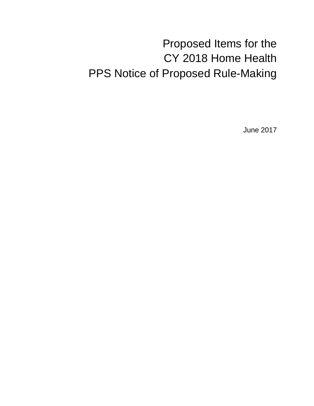# Proposed Items for the CY 2018 Home Health PPS Notice of Proposed Rule-Making

June 2017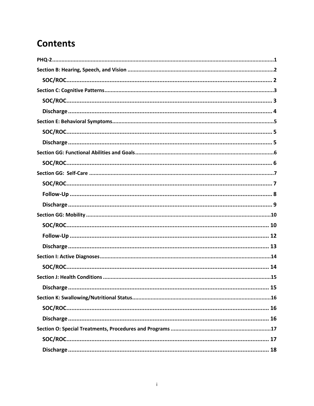## **Contents**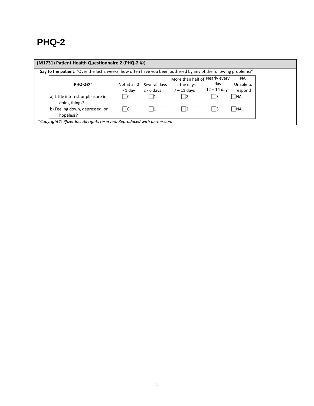## <span id="page-2-0"></span>**PHQ-2**

| (M1731) Patient Health Questionnaire 2 (PHQ-2 0)                                                                |                         |                              |                                                             |                       |                            |  |
|-----------------------------------------------------------------------------------------------------------------|-------------------------|------------------------------|-------------------------------------------------------------|-----------------------|----------------------------|--|
| Say to the patient: "Over the last 2 weeks, how often have you been bothered by any of the following problems?" |                         |                              |                                                             |                       |                            |  |
| <b>PHQ-20*</b>                                                                                                  | Not at all 0<br>- 1 dav | Several days<br>$2 - 6$ days | More than half of Nearly every<br>the days<br>$7 - 11$ days | day<br>$12 - 14$ days | NA<br>Unable to<br>respond |  |
| a) Little interest or pleasure in<br><b>NA</b><br>12<br>- 11<br>doing things?                                   |                         |                              |                                                             |                       |                            |  |
| b) Feeling down, depressed, or<br>hopeless?                                                                     | - 10                    | - 11                         | -12                                                         | - 13                  | <b>INA</b>                 |  |
| *Copyright© Pfizer Inc. All rights reserved. Reproduced with permission.                                        |                         |                              |                                                             |                       |                            |  |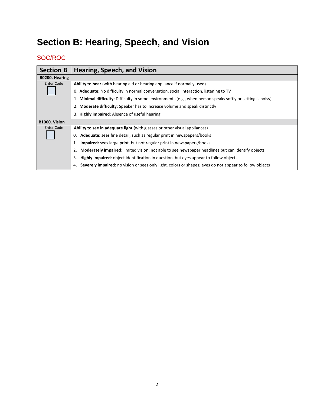# <span id="page-3-0"></span>**Section B: Hearing, Speech, and Vision**

<span id="page-3-1"></span>

| <b>Section B</b>  | Hearing, Speech, and Vision                                                                                   |
|-------------------|---------------------------------------------------------------------------------------------------------------|
| B0200. Hearing    |                                                                                                               |
| <b>Enter Code</b> | Ability to hear (with hearing aid or hearing appliance if normally used)                                      |
|                   | 0. Adequate: No difficulty in normal conversation, social interaction, listening to TV                        |
|                   | 1. Minimal difficulty: Difficulty in some environments (e.g., when person speaks softly or setting is noisy)  |
|                   | 2. Moderate difficulty: Speaker has to increase volume and speak distinctly                                   |
|                   | 3. Highly impaired: Absence of useful hearing                                                                 |
| B1000. Vision     |                                                                                                               |
| Enter Code        | <b>Ability to see in adequate light (with glasses or other visual appliances)</b>                             |
|                   | <b>Adequate:</b> sees fine detail, such as regular print in newspapers/books<br>0.                            |
|                   | <b>Impaired:</b> sees large print, but not regular print in newspapers/books<br>1.                            |
|                   | Moderately impaired: limited vision; not able to see newspaper headlines but can identify objects             |
|                   | <b>Highly impaired:</b> object identification in question, but eyes appear to follow objects<br>3.            |
|                   | Severely impaired: no vision or sees only light, colors or shapes; eyes do not appear to follow objects<br>4. |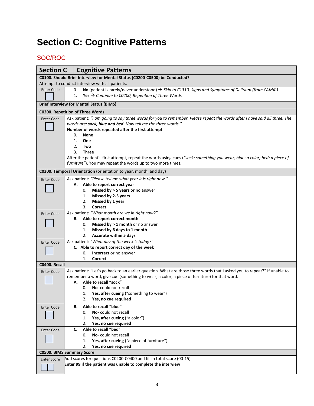# <span id="page-4-0"></span>**Section C: Cognitive Patterns**

<span id="page-4-1"></span>

| <b>Section C</b>   | <b>Cognitive Patterns</b>                                                                                                                                                                     |
|--------------------|-----------------------------------------------------------------------------------------------------------------------------------------------------------------------------------------------|
|                    | C0100. Should Brief Interview for Mental Status (C0200-C0500) be Conducted?                                                                                                                   |
|                    | Attempt to conduct interview with all patients.                                                                                                                                               |
| <b>Enter Code</b>  | No (patient is rarely/never understood) $\rightarrow$ Skip to C1310, Signs and Symptoms of Delirium (from CAMO)<br>0.<br>Yes $\rightarrow$ Continue to C0200, Repetition of Three Words<br>1. |
|                    | <b>Brief Interview for Mental Status (BIMS)</b>                                                                                                                                               |
|                    | <b>C0200. Repetition of Three Words</b>                                                                                                                                                       |
| <b>Enter Code</b>  | Ask patient: "I am going to say three words for you to remember. Please repeat the words after I have said all three. The<br>words are: sock, blue and bed. Now tell me the three words."     |
|                    | Number of words repeated after the first attempt                                                                                                                                              |
|                    | 0.<br><b>None</b>                                                                                                                                                                             |
|                    | 1.<br>One                                                                                                                                                                                     |
|                    | 2.<br>Two                                                                                                                                                                                     |
|                    | 3.<br><b>Three</b>                                                                                                                                                                            |
|                    | After the patient's first attempt, repeat the words using cues ("sock: something you wear; blue: a color; bed: a piece of<br>furniture"). You may repeat the words up to two more times.      |
|                    | C0300. Temporal Orientation (orientation to year, month, and day)                                                                                                                             |
| <b>Enter Code</b>  | Ask patient: "Please tell me what year it is right now."                                                                                                                                      |
|                    | A. Able to report correct year                                                                                                                                                                |
|                    | Missed by > 5 years or no answer<br>0.                                                                                                                                                        |
|                    | Missed by 2-5 years<br>1.                                                                                                                                                                     |
|                    | Missed by 1 year<br>2.                                                                                                                                                                        |
|                    | 3.<br>Correct                                                                                                                                                                                 |
| <b>Enter Code</b>  | Ask patient: "What month are we in right now?"                                                                                                                                                |
|                    | Able to report correct month<br>В.                                                                                                                                                            |
|                    | Missed by $> 1$ month or no answer<br>0.                                                                                                                                                      |
|                    | Missed by 6 days to 1 month<br>1.                                                                                                                                                             |
|                    | <b>Accurate within 5 days</b><br>2.                                                                                                                                                           |
| <b>Enter Code</b>  | Ask patient: "What day of the week is today?"                                                                                                                                                 |
|                    | C. Able to report correct day of the week                                                                                                                                                     |
|                    | 0.<br><b>Incorrect</b> or no answer                                                                                                                                                           |
|                    | 1.<br>Correct                                                                                                                                                                                 |
| C0400. Recall      |                                                                                                                                                                                               |
| <b>Enter Code</b>  | Ask patient: "Let's go back to an earlier question. What are those three words that I asked you to repeat?" If unable to                                                                      |
|                    | remember a word, give cue (something to wear; a color; a piece of furniture) for that word.                                                                                                   |
|                    | A. Able to recall "sock"                                                                                                                                                                      |
|                    | No-could not recall<br>0.                                                                                                                                                                     |
|                    | Yes, after cueing ("something to wear")<br>1.                                                                                                                                                 |
|                    | 2.<br>Yes, no cue required                                                                                                                                                                    |
| <b>Enter Code</b>  | Able to recall "blue"<br>В.                                                                                                                                                                   |
|                    | No-could not recall<br>0.                                                                                                                                                                     |
|                    | Yes, after cueing ("a color")<br>1.                                                                                                                                                           |
|                    | 2.<br>Yes, no cue required                                                                                                                                                                    |
| <b>Enter Code</b>  | Able to recall "bed"<br>C.                                                                                                                                                                    |
|                    | No-could not recall<br>0.                                                                                                                                                                     |
|                    | Yes, after cueing ("a piece of furniture")<br>1.                                                                                                                                              |
|                    | Yes, no cue required<br>2.                                                                                                                                                                    |
|                    | <b>C0500. BIMS Summary Score</b>                                                                                                                                                              |
| <b>Enter Score</b> | Add scores for questions C0200-C0400 and fill in total score (00-15)<br>Enter 99 if the patient was unable to complete the interview                                                          |
|                    |                                                                                                                                                                                               |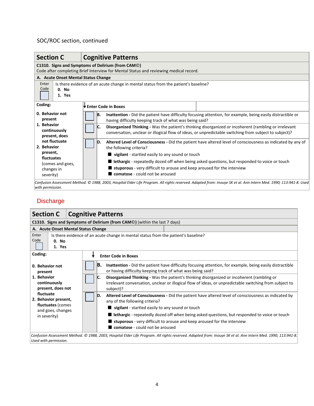## SOC/ROC section, continued

| <b>Section C</b>                                               | <b>Cognitive Patterns</b>                                                                                                                                                                                              |  |  |  |  |  |
|----------------------------------------------------------------|------------------------------------------------------------------------------------------------------------------------------------------------------------------------------------------------------------------------|--|--|--|--|--|
| C1310. Signs and Symptoms of Delirium (from CAM <sup>©</sup> ) |                                                                                                                                                                                                                        |  |  |  |  |  |
|                                                                | Code after completing Brief Interview for Mental Status and reviewing medical record.                                                                                                                                  |  |  |  |  |  |
| A. Acute Onset Mental Status Change                            |                                                                                                                                                                                                                        |  |  |  |  |  |
| Enter<br>Code<br>0. No<br>1. Yes                               | Is there evidence of an acute change in mental status from the patient's baseline?                                                                                                                                     |  |  |  |  |  |
| Coding:                                                        | <b>Enter Code in Boxes</b>                                                                                                                                                                                             |  |  |  |  |  |
| 0. Behavior not<br>present                                     | B.<br>Inattention - Did the patient have difficulty focusing attention, for example, being easily distractible or<br>having difficulty keeping track of what was being said?                                           |  |  |  |  |  |
| 1. Behavior<br>continuously<br>present, does                   | Disorganized Thinking - Was the patient's thinking disorganized or incoherent (rambling or irrelevant<br>IC.<br>conversation, unclear or illogical flow of ideas, or unpredictable switching from subject to subject)? |  |  |  |  |  |
| not fluctuate<br>2. Behavior                                   | Altered Level of Consciousness - Did the patient have altered level of consciousness as indicated by any of<br>D.<br>the following criteria?                                                                           |  |  |  |  |  |
| present,                                                       | ■ vigilant - startled easily to any sound or touch                                                                                                                                                                     |  |  |  |  |  |
| fluctuates<br>(comes and goes,<br>changes in                   | lethargic - repeatedly dozed off when being asked questions, but responded to voice or touch<br>stuporous - very difficult to arouse and keep aroused for the interview                                                |  |  |  |  |  |
| severity)                                                      | comatose - could not be aroused                                                                                                                                                                                        |  |  |  |  |  |
| with permission.                                               | Confusion Assessment Method. © 1988, 2003, Hospital Elder Life Program. All rights reserved. Adapted from: Inouye SK et al. Ann Intern Med. 1990; 113:941-8. Used                                                      |  |  |  |  |  |

<span id="page-5-0"></span>

| <b>Section C</b>                                                                                                                                                                                               | <b>Cognitive Patterns</b>                                                                                                                                                                                                 |  |  |  |  |  |
|----------------------------------------------------------------------------------------------------------------------------------------------------------------------------------------------------------------|---------------------------------------------------------------------------------------------------------------------------------------------------------------------------------------------------------------------------|--|--|--|--|--|
| C1310. Signs and Symptoms of Delirium (from CAM $\odot$ ) (within the last 7 days)                                                                                                                             |                                                                                                                                                                                                                           |  |  |  |  |  |
|                                                                                                                                                                                                                | A. Acute Onset Mental Status Change                                                                                                                                                                                       |  |  |  |  |  |
| Enter<br>Is there evidence of an acute change in mental status from the patient's baseline?<br>Code<br>0. No<br>1. Yes                                                                                         |                                                                                                                                                                                                                           |  |  |  |  |  |
| Coding:                                                                                                                                                                                                        | <b>Enter Code in Boxes</b>                                                                                                                                                                                                |  |  |  |  |  |
| <b>B.</b> Inattention - Did the patient have difficulty focusing attention, for example, being easily distractible<br>0. Behavior not<br>or having difficulty keeping track of what was being said?<br>present |                                                                                                                                                                                                                           |  |  |  |  |  |
| 1. Behavior<br>continuously<br>present, does not                                                                                                                                                               | Disorganized Thinking - Was the patient's thinking disorganized or incoherent (rambling or<br>IC.<br>irrelevant conversation, unclear or illogical flow of ideas, or unpredictable switching from subject to<br>subject)? |  |  |  |  |  |
| fluctuate<br>2. Behavior present,                                                                                                                                                                              | Altered Level of Consciousness - Did the patient have altered level of consciousness as indicated by<br>D.<br>any of the following criteria?                                                                              |  |  |  |  |  |
| fluctuates (comes<br>and goes, changes                                                                                                                                                                         | vigilant - startled easily to any sound or touch                                                                                                                                                                          |  |  |  |  |  |
| <b>E</b> lethargic - repeatedly dozed off when being asked questions, but responded to voice or touch<br>in severity)                                                                                          |                                                                                                                                                                                                                           |  |  |  |  |  |
|                                                                                                                                                                                                                | stuporous - very difficult to arouse and keep aroused for the interview<br>comatose - could not be aroused                                                                                                                |  |  |  |  |  |
| Used with permission.                                                                                                                                                                                          | Confusion Assessment Method. © 1988, 2003, Hospital Elder Life Program. All rights reserved. Adapted from: Inouye SK et al. Ann Intern Med. 1990; 113:941-8.                                                              |  |  |  |  |  |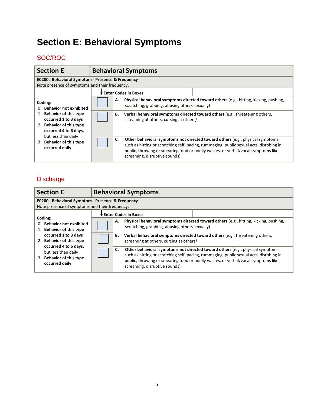# <span id="page-6-0"></span>**Section E: Behavioral Symptoms**

## <span id="page-6-1"></span>SOC/ROC

| <b>Section E</b>                                                                                                                                                                                                             | <b>Behavioral Symptoms</b>                                                                                                                                                                                                                                                                                                                                                                                                                                                                                                                                                                                             |  |  |  |  |  |
|------------------------------------------------------------------------------------------------------------------------------------------------------------------------------------------------------------------------------|------------------------------------------------------------------------------------------------------------------------------------------------------------------------------------------------------------------------------------------------------------------------------------------------------------------------------------------------------------------------------------------------------------------------------------------------------------------------------------------------------------------------------------------------------------------------------------------------------------------------|--|--|--|--|--|
| E0200. Behavioral Symptom - Presence & Frequency<br>Note presence of symptoms and their frequency.                                                                                                                           |                                                                                                                                                                                                                                                                                                                                                                                                                                                                                                                                                                                                                        |  |  |  |  |  |
| Coding:<br><b>Behavior not exhibited</b><br>0.<br>1. Behavior of this type<br>occurred 1 to 3 days<br>2. Behavior of this type<br>occurred 4 to 6 days,<br>but less than daily<br>3. Behavior of this type<br>occurred daily | Enter Codes in Boxes<br>Physical behavioral symptoms directed toward others (e.g., hitting, kicking, pushing,<br>А.<br>scratching, grabbing, abusing others sexually)<br>Verbal behavioral symptoms directed toward others (e.g., threatening others,<br>В.<br>screaming at others, cursing at others)<br>C.<br><b>Other behavioral symptoms not directed toward others (e.g., physical symptoms)</b><br>such as hitting or scratching self, pacing, rummaging, public sexual acts, disrobing in<br>public, throwing or smearing food or bodily wastes, or verbal/vocal symptoms like<br>screaming, disruptive sounds) |  |  |  |  |  |

<span id="page-6-2"></span>

| <b>Section E</b>                                                                                   | <b>Behavioral Symptoms</b>                                                                                                                                                                                                                                                                                   |  |  |  |  |  |  |
|----------------------------------------------------------------------------------------------------|--------------------------------------------------------------------------------------------------------------------------------------------------------------------------------------------------------------------------------------------------------------------------------------------------------------|--|--|--|--|--|--|
| E0200. Behavioral Symptom - Presence & Frequency<br>Note presence of symptoms and their frequency. |                                                                                                                                                                                                                                                                                                              |  |  |  |  |  |  |
|                                                                                                    | Enter Codes in Boxes                                                                                                                                                                                                                                                                                         |  |  |  |  |  |  |
| Coding:<br>0. Behavior not exhibited<br>1. Behavior of this type                                   | Physical behavioral symptoms directed toward others (e.g., hitting, kicking, pushing,<br>А.<br>scratching, grabbing, abusing others sexually)                                                                                                                                                                |  |  |  |  |  |  |
| occurred 1 to 3 days<br>2. Behavior of this type                                                   | Verbal behavioral symptoms directed toward others (e.g., threatening others,<br>В.<br>screaming at others, cursing at others)                                                                                                                                                                                |  |  |  |  |  |  |
| occurred 4 to 6 days,<br>but less than daily<br>3. Behavior of this type<br>occurred daily         | <b>Other behavioral symptoms not directed toward others (e.g., physical symptoms)</b><br>C.<br>such as hitting or scratching self, pacing, rummaging, public sexual acts, disrobing in<br>public, throwing or smearing food or bodily wastes, or verbal/vocal symptoms like<br>screaming, disruptive sounds) |  |  |  |  |  |  |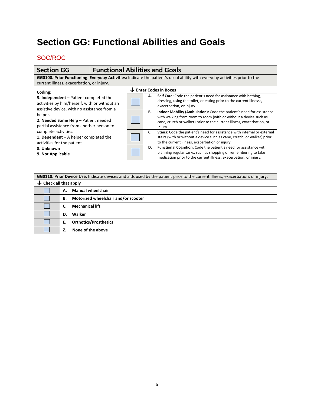## <span id="page-7-0"></span>**Section GG: Functional Abilities and Goals**

<span id="page-7-1"></span>

| <b>Section GG</b>                                                                                                                                                       | <b>Functional Abilities and Goals</b> |                                   |    |                                                                                                                                                                                                                               |
|-------------------------------------------------------------------------------------------------------------------------------------------------------------------------|---------------------------------------|-----------------------------------|----|-------------------------------------------------------------------------------------------------------------------------------------------------------------------------------------------------------------------------------|
| GG0100. Prior Functioning: Everyday Activities: Indicate the patient's usual ability with everyday activities prior to the<br>current illness, exacerbation, or injury. |                                       |                                   |    |                                                                                                                                                                                                                               |
| Coding:                                                                                                                                                                 |                                       | $\downarrow$ Enter Codes in Boxes |    |                                                                                                                                                                                                                               |
| 3. Independent - Patient completed the<br>activities by him/herself, with or without an                                                                                 |                                       |                                   | А. | Self Care: Code the patient's need for assistance with bathing,<br>dressing, using the toilet, or eating prior to the current illnesss,<br>exacerbation, or injury.                                                           |
| assistive device, with no assistance from a<br>helper.<br>2. Needed Some Help - Patient needed<br>partial assistance from another person to                             |                                       |                                   | В. | Indoor Mobility (Ambulation): Code the patient's need for assistance<br>with walking from room to room (with or without a device such as<br>cane, crutch or walker) prior to the current illness, exacerbation, or<br>injury. |
| complete activities.<br>1. Dependent $-$ A helper completed the<br>activities for the patient.                                                                          |                                       |                                   | C. | Stairs: Code the patient's need for assistance with internal or external<br>stairs (with or without a device such as cane, crutch, or walker) prior<br>to the current illness, exacerbation or injury.                        |
| 8. Unknown<br>9. Not Applicable                                                                                                                                         |                                       |                                   | D. | <b>Functional Cognition:</b> Code the patient's need for assistance with<br>planning regular tasks, such as shopping or remembering to take<br>medication prior to the current illness, exacerbation, or injury.              |

| GG0110. Prior Device Use. Indicate devices and aids used by the patient prior to the current illness, exacerbation, or injury. |                                           |  |  |
|--------------------------------------------------------------------------------------------------------------------------------|-------------------------------------------|--|--|
| $\downarrow$ Check all that apply                                                                                              |                                           |  |  |
|                                                                                                                                | <b>Manual wheelchair</b><br>А.            |  |  |
|                                                                                                                                | Motorized wheelchair and/or scooter<br>В. |  |  |
|                                                                                                                                | <b>Mechanical lift</b>                    |  |  |
|                                                                                                                                | Walker<br>D.                              |  |  |
|                                                                                                                                | <b>Orthotics/Prosthetics</b><br>Е.        |  |  |
|                                                                                                                                | None of the above                         |  |  |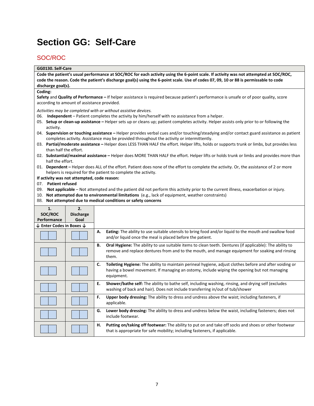## <span id="page-8-0"></span>**Section GG: Self-Care**

### <span id="page-8-1"></span>SOC/ROC

### **GG0130. Self-Care**

**Code the patient's usual performance at SOC/ROC for each activity using the 6-point scale. If activity was not attempted at SOC/ROC, code the reason. Code the patient's discharge goal(s) using the 6-point scale. Use of codes 07, 09, 10 or 88 is permissable to code discharge goal(s).** 

#### **Coding:**

**Safety** and **Quality of Performance –** If helper assistance is required because patient's performance is unsafe or of poor quality, score according to amount of assistance provided.

*Activities may be completed with or without assistive devices.* 

- 06. **Independent** Patient completes the activity by him/herself with no assistance from a helper.
- 05. **Setup or clean-up assistance** Helper sets up or cleans up; patient completes activity. Helper assists only prior to or following the activity.
- 04. **Supervision or touching assistance** Helper provides verbal cues and/or touching/steadying and/or contact guard assistance as patient completes activity. Assistance may be provided throughout the activity or intermittently.
- 03. **Partial/moderate assistance** Helper does LESS THAN HALF the effort. Helper lifts, holds or supports trunk or limbs, but provides less than half the effort.
- 02. **Substantial/maximal assistance** Helper does MORE THAN HALF the effort. Helper lifts or holds trunk or limbs and provides more than half the effort.
- 01. **Dependent** Helper does ALL of the effort. Patient does none of the effort to complete the activity. Or, the assistance of 2 or more helpers is required for the patient to complete the activity.
- **If activity was not attempted, code reason:**

07. **Patient refused**

- 09. **Not applicable** Not attempted and the patient did not perform this activity prior to the current illness, exacerbation or injury.
- 10. **Not attempted due to environmental limitations** (e.g., lack of equipment, weather constraints)
- 88. **Not attempted due to medical conditions or safety concerns**

| 1.                                             | 2.               |                                                                                                                                                                                                                                   |
|------------------------------------------------|------------------|-----------------------------------------------------------------------------------------------------------------------------------------------------------------------------------------------------------------------------------|
| SOC/ROC                                        | <b>Discharge</b> |                                                                                                                                                                                                                                   |
| Performance                                    | Goal             |                                                                                                                                                                                                                                   |
| $\downarrow$ Enter Codes in Boxes $\downarrow$ |                  |                                                                                                                                                                                                                                   |
|                                                |                  | <b>Eating:</b> The ability to use suitable utensils to bring food and/or liquid to the mouth and swallow food<br>А.<br>and/or liquid once the meal is placed before the patient.                                                  |
|                                                |                  | <b>Oral Hygiene:</b> The ability to use suitable items to clean teeth. Dentures (if applicable): The ability to<br>В.<br>remove and replace dentures from and to the mouth, and manage equipment for soaking and rinsing<br>them. |
|                                                |                  | Toileting Hygiene: The ability to maintain perineal hygiene, adjust clothes before and after voiding or<br>C.<br>having a bowel movement. If managing an ostomy, include wiping the opening but not managing<br>equipment.        |
|                                                |                  | Ε.<br><b>Shower/bathe self:</b> The ability to bathe self, including washing, rinsing, and drying self (excludes<br>washing of back and hair). Does not include transferring in/out of tub/shower                                 |
|                                                |                  | <b>Upper body dressing:</b> The ability to dress and undress above the waist; including fasteners, if<br>F.<br>applicable.                                                                                                        |
|                                                |                  | Lower body dressing: The ability to dress and undress below the waist, including fasteners; does not<br>G.<br>include footwear.                                                                                                   |
|                                                |                  | Putting on/taking off footwear: The ability to put on and take off socks and shoes or other footwear<br>н.<br>that is appropriate for safe mobility; including fasteners, if applicable.                                          |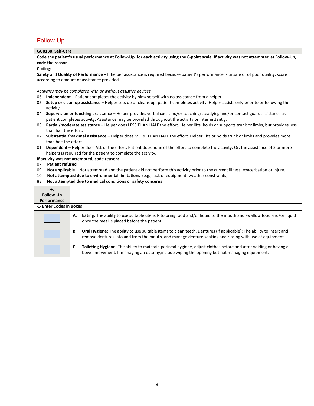## <span id="page-9-0"></span>Follow-Up

| GG0130. Self-Care        |                                                                                                                                                                                                                                        |
|--------------------------|----------------------------------------------------------------------------------------------------------------------------------------------------------------------------------------------------------------------------------------|
|                          | Code the patient's usual performance at Follow-Up for each activity using the 6-point scale. If activity was not attempted at Follow-Up,                                                                                               |
| code the reason.         |                                                                                                                                                                                                                                        |
| Coding:                  |                                                                                                                                                                                                                                        |
|                          | Safety and Quality of Performance - If helper assistance is required because patient's performance is unsafe or of poor quality, score                                                                                                 |
|                          | according to amount of assistance provided.                                                                                                                                                                                            |
|                          |                                                                                                                                                                                                                                        |
|                          | Activities may be completed with or without assistive devices.                                                                                                                                                                         |
|                          | 06. Independent – Patient completes the activity by him/herself with no assistance from a helper.                                                                                                                                      |
| activity.                | 05. Setup or clean-up assistance - Helper sets up or cleans up; patient completes activity. Helper assists only prior to or following the                                                                                              |
|                          | 04. Supervision or touching assistance - Helper provides verbal cues and/or touching/steadying and/or contact guard assistance as<br>patient completes activity. Assistance may be provided throughout the activity or intermittently. |
| than half the effort.    | 03. Partial/moderate assistance - Helper does LESS THAN HALF the effort. Helper lifts, holds or supports trunk or limbs, but provides less                                                                                             |
| than half the effort.    | 02. Substantial/maximal assistance - Helper does MORE THAN HALF the effort. Helper lifts or holds trunk or limbs and provides more                                                                                                     |
|                          | 01. Dependent - Helper does ALL of the effort. Patient does none of the effort to complete the activity. Or, the assistance of 2 or more<br>helpers is required for the patient to complete the activity.                              |
|                          | If activity was not attempted, code reason:                                                                                                                                                                                            |
| 07. Patient refused      |                                                                                                                                                                                                                                        |
| 09.                      | Not applicable - Not attempted and the patient did not perform this activity prior to the current illness, exacerbation or injury.                                                                                                     |
| 10.                      | Not attempted due to environmental limitations (e.g., lack of equipment, weather constraints)                                                                                                                                          |
|                          | 88. Not attempted due to medical conditions or safety concerns                                                                                                                                                                         |
|                          |                                                                                                                                                                                                                                        |
| 4.                       |                                                                                                                                                                                                                                        |
| Follow-Up<br>Performance |                                                                                                                                                                                                                                        |
| ↓ Enter Codes in Boxes   |                                                                                                                                                                                                                                        |
|                          |                                                                                                                                                                                                                                        |
|                          | Eating: The ability to use suitable utensils to bring food and/or liquid to the mouth and swallow food and/or liquid<br>А.<br>once the meal is placed before the patient.                                                              |
|                          | Oral Hygiene: The ability to use suitable items to clean teeth. Dentures (if applicable): The ability to insert and<br>В.<br>remove dentures into and from the mouth, and manage denture soaking and rinsing with use of equipment.    |
|                          | Toileting Hygiene: The ability to maintain perineal hygiene, adjust clothes before and after voiding or having a<br>C.<br>bowel movement. If managing an ostomy, include wiping the opening but not managing equipment.                |
|                          |                                                                                                                                                                                                                                        |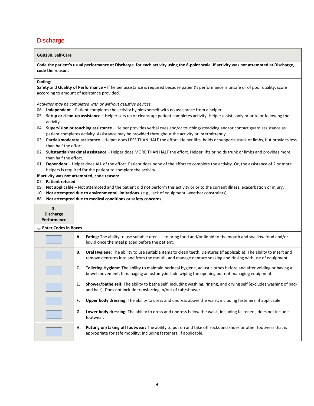### <span id="page-10-0"></span>**Discharge**

#### **GG0130. Self-Care**

**Code the patient's usual performance at Discharge for each activity using the 6-point scale. If activity was not attempted at Discharge, code the reason.** 

#### **Coding:**

**Safety** and **Quality of Performance –** If helper assistance is required because patient's performance is unsafe or of poor quality, score according to amount of assistance provided.

*Activities may be completed with or without assistive devices.* 

- 06. **Independent** Patient completes the activity by him/herself with no assistance from a helper.
- 05. **Setup or clean-up assistance** Helper sets up or cleans up; patient completes activity. Helper assists only prior to or following the activity.
- 04. **Supervision or touching assistance** Helper provides verbal cues and/or touching/steadying and/or contact guard assistance as patient completes activity. Assistance may be provided throughout the activity or intermittently.
- 03. **Partial/moderate assistance** Helper does LESS THAN HALF the effort. Helper lifts, holds or supports trunk or limbs, but provides less than half the effort.
- 02. **Substantial/maximal assistance** Helper does MORE THAN HALF the effort. Helper lifts or holds trunk or limbs and provides more than half the effort.
- 01. **Dependent** Helper does ALL of the effort. Patient does none of the effort to complete the activity. Or, the assistance of 2 or more helpers is required for the patient to complete the activity.

#### **If activity was not attempted, code reason:**

- 07. **Patient refused**
- 09. **Not applicable** Not attempted and the patient did not perform this activity prior to the current illness, exacerbation or injury.
- 10. **Not attempted due to environmental limitations** (e.g., lack of equipment, weather constraints)
- 88. **Not attempted due to medical conditions or safety concerns**

| 3.<br><b>Discharge</b><br>Performance |                                                                                                                                                                                                                                            |
|---------------------------------------|--------------------------------------------------------------------------------------------------------------------------------------------------------------------------------------------------------------------------------------------|
| $\downarrow$ Enter Codes in Boxes     |                                                                                                                                                                                                                                            |
|                                       | <b>Eating:</b> The ability to use suitable utensils to bring food and/or liquid to the mouth and swallow food and/or<br>А.<br>liquid once the meal placed before the patient.                                                              |
|                                       | <b>Oral Hygiene:</b> The ability to use suitable items to clean teeth. Dentures (if applicable): The ability to insert and<br>В.<br>remove dentures into and from the mouth, and manage denture soaking and rinsing with use of equipment. |
|                                       | Toileting Hygiene: The ability to maintain perineal hygiene, adjust clothes before and after voiding or having a<br>C.<br>bowel movement. If managing an ostomy, include wiping the opening but not managing equipment.                    |
|                                       | Shower/bathe self: The ability to bathe self, including washing, rinsing, and drying self (excludes washing of back<br>Е.<br>and hair). Does not include transferring in/out of tub/shower.                                                |
|                                       | <b>Upper body dressing:</b> The ability to dress and undress above the waist; including fasteners, if applicable.<br>F.                                                                                                                    |
|                                       | Lower body dressing: The ability to dress and undress below the waist, including fasteners; does not include<br>G.<br>footwear.                                                                                                            |
|                                       | Putting on/taking off footwear: The ability to put on and take off socks and shoes or other footwear that is<br>н.<br>appropriate for safe mobility; including fasteners, if applicable.                                                   |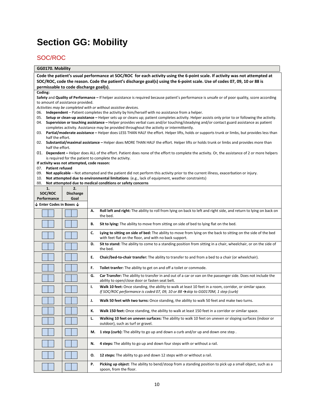## <span id="page-11-0"></span>**Section GG: Mobility**

### <span id="page-11-1"></span>SOC/ROC

#### **GG0170. Mobility**

**Code the patient's usual performance at SOC/ROC for each activity using the 6-point scale. If activity was not attempted at SOC/ROC, code the reason. Code the patient's discharge goal(s) using the 6-point scale. Use of codes 07, 09, 10 or 88 is permissable to code discharge goal(s).** 

#### **Coding:**

**Safety** and **Quality of Performance –** If helper assistance is required because patient's performance is unsafe or of poor quality, score according to amount of assistance provided.

*Activities may be completed with or without assistive devices.* 

- 06. **Independent** Patient completes the activity by him/herself with no assistance from a helper.
- 05. **Setup or clean-up assistance** Helper sets up or cleans up; patient completes activity. Helper assists only prior to or following the activity. 04. **Supervision or touching assistance –** Helper provides verbal cues and/or touching/steadying and/or contact guard assistance as patient
- completes activity. Assistance may be provided throughout the activity or intermittently.
- 03. **Partial/moderate assistance** Helper does LESS THAN HALF the effort. Helper lifts, holds or supports trunk or limbs, but provides less than half the effort.
- 02. **Substantial/maximal assistance** Helper does MORE THAN HALF the effort. Helper lifts or holds trunk or limbs and provides more than half the effort.
- 01. **Dependent** Helper does ALL of the effort. Patient does none of the effort to complete the activity. Or, the assistance of 2 or more helpers is required for the patient to complete the activity.

**If activity was not attempted, code reason:**

07. **Patient refused**

- 09. **Not applicable** Not attempted and the patient did not perform this activity prior to the current illness, exacerbation or injury.
- 10. **Not attempted due to environmental limitations** (e.g., lack of equipment, weather constraints)
- 88. **Not attempted due to medical conditions or safety concerns**

| 2.<br>1.<br>SOC/ROC<br><b>Discharge</b>        |  |                                                                                                                                                                                                                 |
|------------------------------------------------|--|-----------------------------------------------------------------------------------------------------------------------------------------------------------------------------------------------------------------|
| Performance<br>Goal                            |  |                                                                                                                                                                                                                 |
| $\downarrow$ Enter Codes in Boxes $\downarrow$ |  |                                                                                                                                                                                                                 |
|                                                |  | Roll left and right: The ability to roll from lying on back to left and right side, and return to lying on back on<br>Α.<br>the bed.                                                                            |
|                                                |  | Sit to lying: The ability to move from sitting on side of bed to lying flat on the bed.<br>В.                                                                                                                   |
|                                                |  | C.<br>Lying to sitting on side of bed: The ability to move from lying on the back to sitting on the side of the bed<br>with feet flat on the floor, and with no back support.                                   |
|                                                |  | Sit to stand: The ability to come to a standing position from sitting in a chair, wheelchair, or on the side of<br>D.<br>the bed.                                                                               |
|                                                |  | E.<br>Chair/bed-to-chair transfer: The ability to transfer to and from a bed to a chair (or wheelchair).                                                                                                        |
|                                                |  | Toilet tranfer: The ability to get on and off a toilet or commode.<br>F.                                                                                                                                        |
|                                                |  | Car Transfer: The ability to transfer in and out of a car or van on the passenger side. Does not include the<br>G.<br>ability to open/close door or fasten seat belt.                                           |
|                                                |  | Walk 10 feet: Once standing, the ability to walk at least 10 feet in a room, corridor, or similar space.<br>۱.<br>If SOC/ROC performance is coded 07, 09, 10 or 88 $\rightarrow$ skip to GG0170M, 1 step (curb) |
|                                                |  | Walk 50 feet with two turns: Once standing, the ability to walk 50 feet and make two turns.<br>J.                                                                                                               |
|                                                |  | Walk 150 feet: Once standing, the ability to walk at least 150 feet in a corridor or similar space.<br>к.                                                                                                       |
|                                                |  | Walking 10 feet on uneven surfaces: The ability to walk 10 feet on uneven or sloping surfaces (indoor or<br>L.<br>outdoor), such as turf or gravel.                                                             |
|                                                |  | 1 step (curb): The ability to go up and down a curb and/or up and down one step.<br>М.                                                                                                                          |
|                                                |  | 4 steps: The ability to go up and down four steps with or without a rail.<br>N.                                                                                                                                 |
|                                                |  | 12 steps: The ability to go and down 12 steps with or without a rail.<br>О.                                                                                                                                     |
|                                                |  | Picking up object: The ability to bend/stoop from a standing position to pick up a small object, such as a<br>Ρ.<br>spoon, from the floor.                                                                      |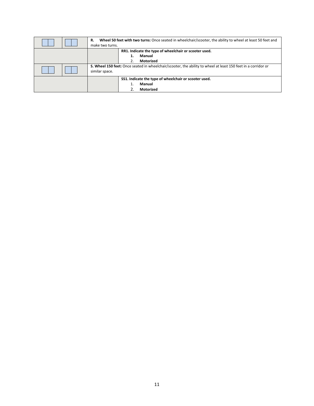| Wheel 50 feet with two turns: Once seated in wheelchair/scooter, the ability to wheel at least 50 feet and<br>R.<br>make two turns. |  |
|-------------------------------------------------------------------------------------------------------------------------------------|--|
| RR1. Indicate the type of wheelchair or scooter used.<br>Manual<br><b>Motorized</b>                                                 |  |
| S. Wheel 150 feet: Once seated in wheelchair/scooter, the ability to wheel at least 150 feet in a corridor or<br>similar space.     |  |
| SS1. Indicate the type of wheelchair or scooter used.<br>Manual<br>Motorized                                                        |  |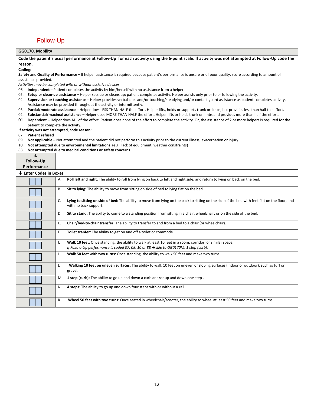### <span id="page-13-0"></span>Follow-Up

### **GG0170. Mobility**

**Code the patient's usual performance at Follow-Up for each activity using the 6-point scale. If activity was not attempted at Follow-Up code the reason.**

**Coding:**

**Safety** and **Quality of Performance –** If helper assistance is required because patient's performance is unsafe or of poor quality, score according to amount of assistance provided.

*Activities may be completed with or without assistive devices.* 

- 06. **Independent** Patient completes the activity by him/herself with no assistance from a helper.
- 05. **Setup or clean-up assistance** Helper sets up or cleans up; patient completes activity. Helper assists only prior to or following the activity.
- 04. **Supervision or touching assistance** Helper provides verbal cues and/or touching/steadying and/or contact guard assistance as patient completes activity. Assistance may be provided throughout the activity or intermittently.
- 03. Partial/moderate assistance Helper does LESS THAN HALF the effort. Helper lifts, holds or supports trunk or limbs, but provides less than half the effort.
- 02. **Substantial/maximal assistance** Helper does MORE THAN HALF the effort. Helper lifts or holds trunk or limbs and provides more than half the effort.
- 01. Dependent Helper does ALL of the effort. Patient does none of the effort to complete the activity. Or, the assistance of 2 or more helpers is required for the patient to complete the activity.

**If activity was not attempted, code reason:**

07. **Patient refused**

- 09. **Not applicable** Not attempted and the patient did not perform this activity prior to the current illness, exacerbation or injury.
- 10. **Not attempted due to environmental limitations** (e.g., lack of equipment, weather constraints)
- 88. **Not attempted due to medical conditions or safety concerns**

| 4.                     |                                                                                                                                                                               |
|------------------------|-------------------------------------------------------------------------------------------------------------------------------------------------------------------------------|
| <b>Follow-Up</b>       |                                                                                                                                                                               |
| Performance            |                                                                                                                                                                               |
| ↓ Enter Codes in Boxes |                                                                                                                                                                               |
|                        | Roll left and right: The ability to roll from lying on back to left and right side, and return to lying on back on the bed.<br>А.                                             |
|                        | В.<br>Sit to lying: The ability to move from sitting on side of bed to lying flat on the bed.                                                                                 |
|                        | C.<br>Lying to sitting on side of bed: The ability to move from lying on the back to sitting on the side of the bed with feet flat on the floor, and<br>with no back support. |
|                        | Sit to stand: The ability to come to a standing position from sitting in a chair, wheelchair, or on the side of the bed.<br>D.                                                |
|                        | Ε.<br>Chair/bed-to-chair transfer: The ability to transfer to and from a bed to a chair (or wheelchair).                                                                      |
|                        | F.<br>Toilet tranfer: The ability to get on and off a toilet or commode.                                                                                                      |
|                        | Walk 10 feet: Once standing, the ability to walk at least 10 feet in a room, corridor, or similar space.<br>Ι.                                                                |
|                        | If Follow-Up performance is coded 07, 09, 10 or 88 $\rightarrow$ skip to GG0170M, 1 step (curb).                                                                              |
|                        | Walk 50 feet with two turns: Once standing, the ability to walk 50 feet and make two turns.<br>J.                                                                             |
|                        | Walking 10 feet on uneven surfaces: The ability to walk 10 feet on uneven or sloping surfaces (indoor or outdoor), such as turf or<br>L.<br>gravel.                           |
|                        | 1 step (curb): The ability to go up and down a curb and/or up and down one step.<br>M.                                                                                        |
|                        | 4 steps: The ability to go up and down four steps with or without a rail.<br>N.                                                                                               |
|                        | R.<br>Wheel 50 feet with two turns: Once seated in wheelchair/scooter, the ability to wheel at least 50 feet and make two turns.                                              |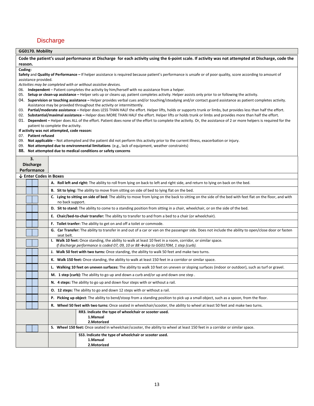### <span id="page-14-0"></span>**Discharge**

### **GG0170. Mobility**

**Code the patient's usual performance at Discharge for each activity using the 6-point scale. If activity was not attempted at Discharge, code the reason.** 

#### **Coding:**

**Safety** and **Quality of Performance –** If helper assistance is required because patient's performance is unsafe or of poor quality, score according to amount of assistance provided.

*Activities may be completed with or without assistive devices.* 

- 06. **Independent** Patient completes the activity by him/herself with no assistance from a helper.
- 05. **Setup or clean-up assistance** Helper sets up or cleans up; patient completes activity. Helper assists only prior to or following the activity.
- 04. **Supervision or touching assistance** Helper provides verbal cues and/or touching/steadying and/or contact guard assistance as patient completes activity. Assistance may be provided throughout the activity or intermittently.
- 03. Partial/moderate assistance Helper does LESS THAN HALF the effort. Helper lifts, holds or supports trunk or limbs, but provides less than half the effort.
- 02. **Substantial/maximal assistance** Helper does MORE THAN HALF the effort. Helper lifts or holds trunk or limbs and provides more than half the effort.
- 01. Dependent Helper does ALL of the effort. Patient does none of the effort to complete the activity. Or, the assistance of 2 or more helpers is required for the patient to complete the activity.

**If activity was not attempted, code reason:**

07. **Patient refused**

**3.**

- 09. **Not applicable** Not attempted and the patient did not perform this activity prior to the current illness, exacerbation or injury.
- 09. **Not attempted due to environmental limitations** (e.g., lack of equipment, weather constraints)
- **88. Not attempted due to medical conditions or safety concerns**

| э.<br><b>Discharge</b> |                        |  |                                                                                                                                                                                                                 |  |  |
|------------------------|------------------------|--|-----------------------------------------------------------------------------------------------------------------------------------------------------------------------------------------------------------------|--|--|
| Performance            |                        |  |                                                                                                                                                                                                                 |  |  |
|                        | ↓ Enter Codes in Boxes |  |                                                                                                                                                                                                                 |  |  |
|                        |                        |  | A. Roll left and right: The ability to roll from lying on back to left and right side, and return to lying on back on the bed.                                                                                  |  |  |
|                        |                        |  | B. Sit to lying: The ability to move from sitting on side of bed to lying flat on the bed.                                                                                                                      |  |  |
|                        |                        |  | C. Lying to sitting on side of bed: The ability to move from lying on the back to sitting on the side of the bed with feet flat on the floor, and with<br>no back support.                                      |  |  |
|                        |                        |  | D. Sit to stand: The ability to come to a standing position from sitting in a chair, wheelchair, or on the side of the bed.                                                                                     |  |  |
|                        |                        |  | E. Chair/bed-to-chair transfer: The ability to transfer to and from a bed to a chair (or wheelchair).                                                                                                           |  |  |
|                        |                        |  | F. Toilet tranfer: The ability to get on and off a toilet or commode.                                                                                                                                           |  |  |
|                        |                        |  | G. Car Transfer: The ability to transfer in and out of a car or van on the passenger side. Does not include the ability to open/close door or fasten<br>seat belt.                                              |  |  |
|                        |                        |  | I. Walk 10 feet: Once standing, the ability to walk at least 10 feet in a room, corridor, or similar space.<br>If discharge performance is coded 07, 09, 10 or 88 $\rightarrow$ skip to GG0170M, 1 step (curb). |  |  |
|                        |                        |  | J. Walk 50 feet with two turns: Once standing, the ability to walk 50 feet and make two turns.                                                                                                                  |  |  |
|                        |                        |  | K. Walk 150 feet: Once standing, the ability to walk at least 150 feet in a corridor or similar space.                                                                                                          |  |  |
|                        |                        |  | L. Walking 10 feet on uneven surfaces: The ability to walk 10 feet on uneven or sloping surfaces (indoor or outdoor), such as turf or gravel.                                                                   |  |  |
|                        |                        |  | M. 1 step (curb): The ability to go up and down a curb and/or up and down one step.                                                                                                                             |  |  |
|                        |                        |  | N. 4 steps: The ability to go up and down four steps with or without a rail.                                                                                                                                    |  |  |
|                        |                        |  | O. 12 steps: The ability to go and down 12 steps with or without a rail.                                                                                                                                        |  |  |
|                        |                        |  | P. Picking up object: The ability to bend/stoop from a standing position to pick up a small object, such as a spoon, from the floor.                                                                            |  |  |
|                        |                        |  | R. Wheel 50 feet with two turns: Once seated in wheelchair/scooter, the ability to wheel at least 50 feet and make two turns.                                                                                   |  |  |
|                        |                        |  | RR3. Indicate the type of wheelchair or scooter used.<br>1.Manual<br>2. Motorized                                                                                                                               |  |  |
|                        |                        |  | S. Wheel 150 feet: Once seated in wheelchair/scooter, the ability to wheel at least 150 feet in a corridor or similar space.                                                                                    |  |  |
|                        |                        |  | SS3. Indicate the type of wheelchair or scooter used.<br>1.Manual<br>2. Motorized                                                                                                                               |  |  |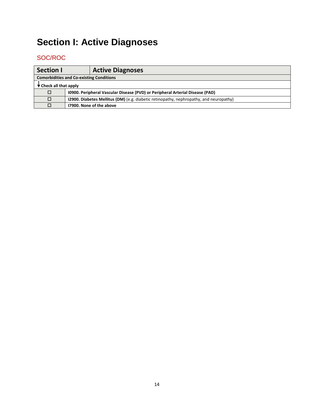# <span id="page-15-0"></span>**Section I: Active Diagnoses**

<span id="page-15-1"></span>

| <b>Section I</b>                           |                                                 | <b>Active Diagnoses</b>                                                                       |  |
|--------------------------------------------|-------------------------------------------------|-----------------------------------------------------------------------------------------------|--|
|                                            | <b>Comorbidities and Co-existing Conditions</b> |                                                                                               |  |
| $\blacktriangleright$ Check all that apply |                                                 |                                                                                               |  |
| □                                          |                                                 | 10900. Peripheral Vascular Disease (PVD) or Peripheral Arterial Disease (PAD)                 |  |
| $\Box$                                     |                                                 | <b>12900. Diabetes Mellitus (DM)</b> (e.g. diabetic retinopathy, nephropathy, and neuropathy) |  |
| П                                          |                                                 | 17900. None of the above                                                                      |  |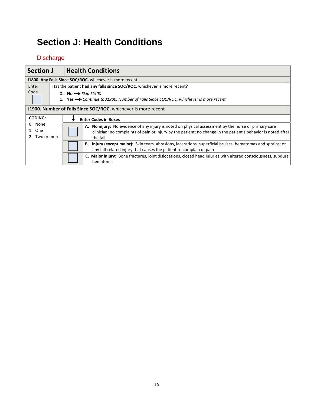## <span id="page-16-0"></span>**Section J: Health Conditions**

<span id="page-16-1"></span>

| <b>Section J</b>                    |                                                                | <b>Health Conditions</b>                                                                                                                                                                                                          |  |  |
|-------------------------------------|----------------------------------------------------------------|-----------------------------------------------------------------------------------------------------------------------------------------------------------------------------------------------------------------------------------|--|--|
|                                     | J1800. Any Falls Since SOC/ROC, whichever is more recent       |                                                                                                                                                                                                                                   |  |  |
| Enter                               |                                                                | Has the patient had any falls since SOC/ROC, whichever is more recent?                                                                                                                                                            |  |  |
| Code                                |                                                                | 0. No $\rightarrow$ Skip J1900                                                                                                                                                                                                    |  |  |
|                                     |                                                                | Yes $\rightarrow$ Continue to J1900. Number of Falls Since SOC/ROC, whichever is more recent                                                                                                                                      |  |  |
|                                     | J1900. Number of Falls Since SOC/ROC, whichever is more recent |                                                                                                                                                                                                                                   |  |  |
| <b>CODING:</b>                      |                                                                | <b>Enter Codes in Boxes</b>                                                                                                                                                                                                       |  |  |
| 0. None<br>1. One<br>2. Two or more |                                                                | A. No injury: No evidence of any injury is noted on physical assessment by the nurse or primary care<br>clinician; no complaints of pain or injury by the patient; no change in the patient's behavior is noted after<br>the fall |  |  |
|                                     |                                                                | B. Injury (except major): Skin tears, abrasions, lacerations, superficial bruises, hematomas and sprains; or<br>any fall-related injury that causes the patient to complain of pain                                               |  |  |
|                                     |                                                                | <b>C. Major injury:</b> Bone fractures, joint dislocations, closed head injuries with altered consciousness, subdural<br>hematoma                                                                                                 |  |  |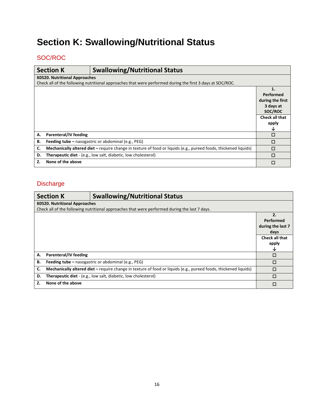# <span id="page-17-0"></span>**Section K: Swallowing/Nutritional Status**

## <span id="page-17-1"></span>SOC/ROC

|    | <b>Section K</b>              | <b>Swallowing/Nutritional Status</b>                                                                             |                       |
|----|-------------------------------|------------------------------------------------------------------------------------------------------------------|-----------------------|
|    | K0520. Nutritional Approaches |                                                                                                                  |                       |
|    |                               | Check all of the following nutritional approaches that were performed during the first 3 days at SOC/ROC.        |                       |
|    |                               |                                                                                                                  | 1.                    |
|    |                               |                                                                                                                  | Performed             |
|    |                               |                                                                                                                  | during the first      |
|    |                               |                                                                                                                  | 3 days at             |
|    |                               |                                                                                                                  | SOC/ROC               |
|    |                               |                                                                                                                  | <b>Check all that</b> |
|    |                               |                                                                                                                  | apply                 |
|    |                               |                                                                                                                  | ↓                     |
| А. | Parenteral/IV feeding         |                                                                                                                  | $\Box$                |
| В. |                               | <b>Feeding tube –</b> nasogastric or abdominal (e.g., PEG)                                                       | $\Box$                |
| C. |                               | Mechanically altered diet – require change in texture of food or liquids (e.g., pureed foods, thickened liquids) | $\Box$                |
| D. |                               | Therapeutic diet - (e.g., low salt, diabetic, low cholesterol)                                                   | $\Box$                |
| Z. | None of the above             |                                                                                                                  | П                     |

<span id="page-17-2"></span>

|    | <b>Section K</b>                     | <b>Swallowing/Nutritional Status</b>                                                                             |                   |
|----|--------------------------------------|------------------------------------------------------------------------------------------------------------------|-------------------|
|    | <b>K0520. Nutritional Approaches</b> |                                                                                                                  |                   |
|    |                                      | Check all of the following nutritional approaches that were performed during the last 7 days.                    |                   |
|    |                                      |                                                                                                                  | 2.                |
|    |                                      |                                                                                                                  | Performed         |
|    |                                      |                                                                                                                  | during the last 7 |
|    |                                      |                                                                                                                  | days              |
|    |                                      |                                                                                                                  | Check all that    |
|    |                                      |                                                                                                                  | apply             |
|    |                                      |                                                                                                                  | ∿                 |
| А. | Parenteral/IV feeding                |                                                                                                                  | П                 |
| В. |                                      | <b>Feeding tube - nasogastric or abdominal (e.g., PEG)</b>                                                       | П                 |
| C. |                                      | Mechanically altered diet – require change in texture of food or liquids (e.g., pureed foods, thickened liquids) | п                 |
| D. |                                      | <b>Therapeutic diet</b> - (e.g., low salt, diabetic, low cholesterol)                                            | П                 |
| Z. | None of the above                    |                                                                                                                  | п                 |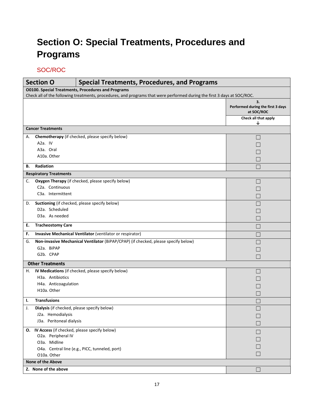# <span id="page-18-0"></span>**Section O: Special Treatments, Procedures and Programs**

<span id="page-18-1"></span>

| <b>Section O</b>                                          | <b>Special Treatments, Procedures, and Programs</b>                                                                     |                                                       |  |  |  |
|-----------------------------------------------------------|-------------------------------------------------------------------------------------------------------------------------|-------------------------------------------------------|--|--|--|
| <b>O0100. Special Treatments, Procedures and Programs</b> |                                                                                                                         |                                                       |  |  |  |
|                                                           | Check all of the following treatments, procedures, and programs that were performed during the first 3 days at SOC/ROC. |                                                       |  |  |  |
|                                                           |                                                                                                                         | 3.<br>Performed during the first 3 days<br>at SOC/ROC |  |  |  |
|                                                           |                                                                                                                         | Check all that apply<br>↓                             |  |  |  |
| <b>Cancer Treatments</b>                                  |                                                                                                                         |                                                       |  |  |  |
| А.                                                        | Chemotherapy (if checked, please specify below)                                                                         |                                                       |  |  |  |
| A <sub>2</sub> a. IV                                      |                                                                                                                         |                                                       |  |  |  |
| A3a. Oral                                                 |                                                                                                                         |                                                       |  |  |  |
| A10a. Other                                               |                                                                                                                         |                                                       |  |  |  |
| Radiation<br>В.                                           |                                                                                                                         |                                                       |  |  |  |
| <b>Respiratory Treatments</b>                             |                                                                                                                         |                                                       |  |  |  |
| С.                                                        | Oxygen Therapy (if checked, please specify below)                                                                       |                                                       |  |  |  |
| C <sub>2</sub> a. Continuous                              |                                                                                                                         |                                                       |  |  |  |
| C <sub>3</sub> a. Intermittent                            |                                                                                                                         |                                                       |  |  |  |
| D.                                                        | Suctioning (if checked, please specify below)                                                                           |                                                       |  |  |  |
| D <sub>2</sub> a. Scheduled                               |                                                                                                                         |                                                       |  |  |  |
| D <sub>3</sub> a. As needed                               |                                                                                                                         |                                                       |  |  |  |
| <b>Tracheostomy Care</b><br>E.                            |                                                                                                                         |                                                       |  |  |  |
| F.                                                        | Invasive Mechanical Ventilator (ventilator or respirator)                                                               |                                                       |  |  |  |
| G.                                                        | Non-invasive Mechanical Ventilator (BiPAP/CPAP) (if checked, please specify below)                                      |                                                       |  |  |  |
| G2a. BiPAP                                                |                                                                                                                         |                                                       |  |  |  |
| G2b. CPAP                                                 |                                                                                                                         |                                                       |  |  |  |
| <b>Other Treatments</b>                                   |                                                                                                                         |                                                       |  |  |  |
| н.                                                        | IV Medications (if checked, please specify below)                                                                       |                                                       |  |  |  |
| H <sub>3</sub> a. Antibiotics                             |                                                                                                                         |                                                       |  |  |  |
| H4a. Anticoagulation                                      |                                                                                                                         |                                                       |  |  |  |
| H10a. Other                                               |                                                                                                                         |                                                       |  |  |  |
| <b>Transfusions</b><br>ı.                                 |                                                                                                                         |                                                       |  |  |  |
| Dialysis (if checked, please specify below)<br>J.         |                                                                                                                         |                                                       |  |  |  |
| J2a. Hemodialysis                                         |                                                                                                                         |                                                       |  |  |  |
| J3a. Peritoneal dialysis                                  |                                                                                                                         |                                                       |  |  |  |
| O. IV Access (if checked, please specify below)           |                                                                                                                         | $\Box$                                                |  |  |  |
| O2a. Peripheral IV                                        |                                                                                                                         |                                                       |  |  |  |
| O3a. Midline                                              |                                                                                                                         |                                                       |  |  |  |
|                                                           | O4a. Central line (e.g., PICC, tunneled, port)                                                                          |                                                       |  |  |  |
| O10a. Other                                               |                                                                                                                         |                                                       |  |  |  |
|                                                           | None of the Above                                                                                                       |                                                       |  |  |  |
| Z. None of the above                                      |                                                                                                                         |                                                       |  |  |  |